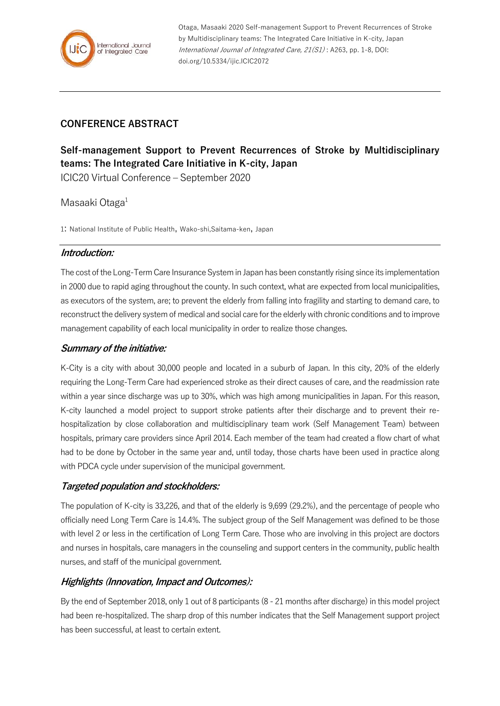

Otaga, Masaaki 2020 Self-management Support to Prevent Recurrences of Stroke by Multidisciplinary teams: The Integrated Care Initiative in K-city, Japan International Journal of Integrated Care, 21(S1) : A263, pp. 1-8, DOI: doi.org/10.5334/ijic.ICIC2072

## **CONFERENCE ABSTRACT**

# **Self-management Support to Prevent Recurrences of Stroke by Multidisciplinary teams: The Integrated Care Initiative in K-city, Japan**

ICIC20 Virtual Conference – September 2020

## Masaaki Otaga<sup>1</sup>

1: National Institute of Public Health, Wako-shi,Saitama-ken, Japan

#### **Introduction:**

The cost of the Long-Term Care Insurance System in Japan has been constantly rising since its implementation in 2000 due to rapid aging throughout the county. In such context, what are expected from local municipalities, as executors of the system, are; to prevent the elderly from falling into fragility and starting to demand care, to reconstruct the delivery system of medical and social care for the elderly with chronic conditions and to improve management capability of each local municipality in order to realize those changes.

### **Summary of the initiative:**

K-City is a city with about 30,000 people and located in a suburb of Japan. In this city, 20% of the elderly requiring the Long-Term Care had experienced stroke as their direct causes of care, and the readmission rate within a year since discharge was up to 30%, which was high among municipalities in Japan. For this reason, K-city launched a model project to support stroke patients after their discharge and to prevent their rehospitalization by close collaboration and multidisciplinary team work (Self Management Team) between hospitals, primary care providers since April 2014. Each member of the team had created a flow chart of what had to be done by October in the same year and, until today, those charts have been used in practice along with PDCA cycle under supervision of the municipal government.

## **Targeted population and stockholders:**

The population of K-city is 33,226, and that of the elderly is 9,699 (29.2%), and the percentage of people who officially need Long Term Care is 14.4%. The subject group of the Self Management was defined to be those with level 2 or less in the certification of Long Term Care. Those who are involving in this project are doctors and nurses in hospitals, care managers in the counseling and support centers in the community, public health nurses, and staff of the municipal government.

## **Highlights (Innovation, Impact and Outcomes):**

By the end of September 2018, only 1 out of 8 participants (8 - 21 months after discharge) in this model project had been re-hospitalized. The sharp drop of this number indicates that the Self Management support project has been successful, at least to certain extent.